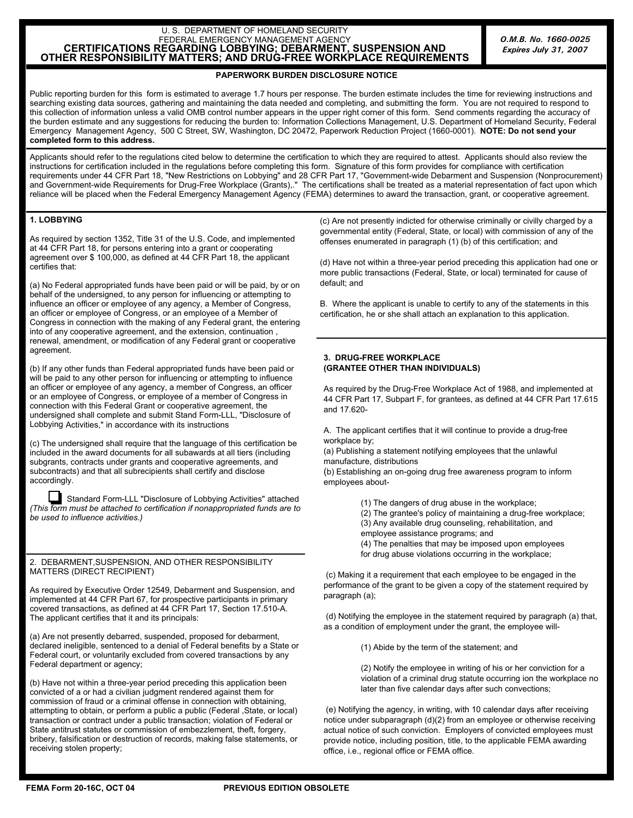## U. S. DEPARTMENT OF HOMELAND SECURITY FEDERAL EMERGENCY MANAGEMENT AGENCY<br>**CERTIFICATIONS REGARDING LOBBYING; DEBARMENT, SUSPENSION AND OTHER RESPONSIBILITY MATTERS; AND DRUG-FREE WORKPLACE REQUIREMENTS**

## **PAPERWORK BURDEN DISCLOSURE NOTICE**

Public reporting burden for this form is estimated to average 1.7 hours per response. The burden estimate includes the time for reviewing instructions and searching existing data sources, gathering and maintaining the data needed and completing, and submitting the form. You are not required to respond to this collection of information unless a valid OMB control number appears in the upper right corner of this form. Send comments regarding the accuracy of the burden estimate and any suggestions for reducing the burden to: Information Collections Management, U.S. Department of Homeland Security, Federal Emergency Management Agency, 500 C Street, SW, Washington, DC 20472, Paperwork Reduction Project (1660-0001). **NOTE: Do not send your completed form to this address.**

Applicants should refer to the regulations cited below to determine the certification to which they are required to attest. Applicants should also review the instructions for certification included in the regulations before completing this form. Signature of this form provides for compliance with certification requirements under 44 CFR Part 18, "New Restrictions on Lobbying" and 28 CFR Part 17, "Government-wide Debarment and Suspension (Nonprocurement) and Government-wide Requirements for Drug-Free Workplace (Grants),." The certifications shall be treated as a material representation of fact upon which reliance will be placed when the Federal Emergency Management Agency (FEMA) determines to award the transaction, grant, or cooperative agreement.

## **1. LOBBYING**

As required by section 1352, Title 31 of the U.S. Code, and implemented at 44 CFR Part 18, for persons entering into a grant or cooperating agreement over \$ 100,000, as defined at 44 CFR Part 18, the applicant certifies that:

(a) No Federal appropriated funds have been paid or will be paid, by or on behalf of the undersigned, to any person for influencing or attempting to influence an officer or employee of any agency, a Member of Congress, an officer or employee of Congress, or an employee of a Member of Congress in connection with the making of any Federal grant, the entering into of any cooperative agreement, and the extension, continuation , renewal, amendment, or modification of any Federal grant or cooperative agreement.

(b) If any other funds than Federal appropriated funds have been paid or will be paid to any other person for influencing or attempting to influence an officer or employee of any agency, a member of Congress, an officer or an employee of Congress, or employee of a member of Congress in connection with this Federal Grant or cooperative agreement, the undersigned shall complete and submit Stand Form-LLL, "Disclosure of Lobbying Activities," in accordance with its instructions

(c) The undersigned shall require that the language of this certification be included in the award documents for all subawards at all tiers (including subgrants, contracts under grants and cooperative agreements, and subcontracts) and that all subrecipients shall certify and disclose accordingly.

Standard Form-LLL "Disclosure of Lobbying Activities" attached *(This form must be attached to certification if nonappropriated funds are to be used to influence activities.)* 

2. DEBARMENT,SUSPENSION, AND OTHER RESPONSIBILITY MATTERS (DIRECT RECIPIENT)

As required by Executive Order 12549, Debarment and Suspension, and implemented at 44 CFR Part 67, for prospective participants in primary covered transactions, as defined at 44 CFR Part 17, Section 17.510-A. The applicant certifies that it and its principals:

(a) Are not presently debarred, suspended, proposed for debarment, declared ineligible, sentenced to a denial of Federal benefits by a State or Federal court, or voluntarily excluded from covered transactions by any Federal department or agency;

(b) Have not within a three-year period preceding this application been convicted of a or had a civilian judgment rendered against them for commission of fraud or a criminal offense in connection with obtaining, attempting to obtain, or perform a public a public (Federal ,State, or local) transaction or contract under a public transaction; violation of Federal or State antitrust statutes or commission of embezzlement, theft, forgery, bribery, falsification or destruction of records, making false statements, or receiving stolen property;

(c) Are not presently indicted for otherwise criminally or civilly charged by a governmental entity (Federal, State, or local) with commission of any of the offenses enumerated in paragraph (1) (b) of this certification; and

(d) Have not within a three-year period preceding this application had one or more public transactions (Federal, State, or local) terminated for cause of default; and

B. Where the applicant is unable to certify to any of the statements in this certification, he or she shall attach an explanation to this application.

## **3. DRUG-FREE WORKPLACE (GRANTEE OTHER THAN INDIVIDUALS)**

As required by the Drug-Free Workplace Act of 1988, and implemented at 44 CFR Part 17, Subpart F, for grantees, as defined at 44 CFR Part 17.615 and 17.620-

A. The applicant certifies that it will continue to provide a drug-free workplace by;

(a) Publishing a statement notifying employees that the unlawful manufacture, distributions

(b) Establishing an on-going drug free awareness program to inform employees about-

- (1) The dangers of drug abuse in the workplace;
- (2) The grantee's policy of maintaining a drug-free workplace;
- (3) Any available drug counseling, rehabilitation, and
- employee assistance programs; and
- (4) The penalties that may be imposed upon employees
- for drug abuse violations occurring in the workplace;

(c) Making it a requirement that each employee to be engaged in the performance of the grant to be given a copy of the statement required by paragraph (a);

(d) Notifying the employee in the statement required by paragraph (a) that, as a condition of employment under the grant, the employee will-

(1) Abide by the term of the statement; and

(2) Notify the employee in writing of his or her conviction for a violation of a criminal drug statute occurring ion the workplace no later than five calendar days after such convections;

(e) Notifying the agency, in writing, with 10 calendar days after receiving notice under subparagraph (d)(2) from an employee or otherwise receiving actual notice of such conviction. Employers of convicted employees must provide notice, including position, title, to the applicable FEMA awarding office, i.e., regional office or FEMA office.